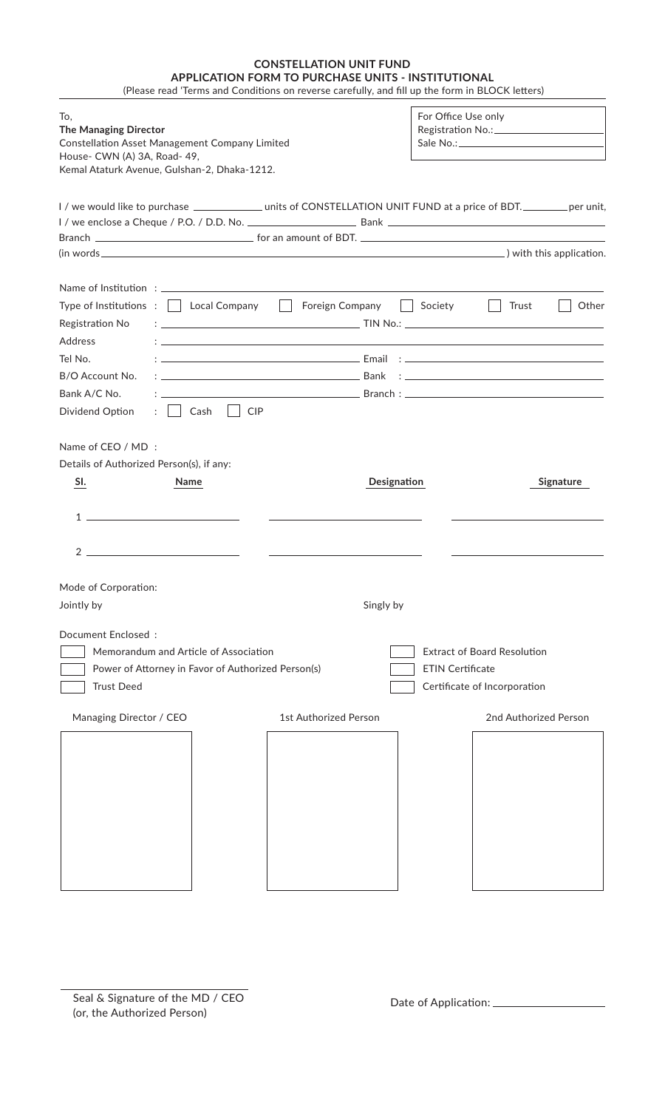| <b>CONSTELLATION UNIT FUND</b>                                                                  |
|-------------------------------------------------------------------------------------------------|
| APPLICATION FORM TO PURCHASE UNITS - INSTITUTIONAL                                              |
| (Please read 'Terms and Conditions on reverse carefully, and fill up the form in BLOCK letters) |

For Office Use only To, **The Managing Director** Registration No.: Constellation Asset Management Company Limited Sale No.: House- CWN (A) 3A, Road- 49, Kemal Ataturk Avenue, Gulshan-2, Dhaka-1212. I / we would like to purchase \_\_\_\_\_\_\_\_\_\_\_\_\_\_ units of CONSTELLATION UNIT FUND at a price of BDT. \_\_\_\_\_\_\_\_ per unit, I / we enclose a Cheque / P.O. / D.D. No. Bank Branch  $\Box$  for an amount of BDT.  $(in words$   $)$  with this application. Name of Institution : \_\_ Type of Institutions :  $\Box$  Local Company  $\Box$  Foreign Company  $\Box$  Society  $\Box$  Trust  $\Box$  Other Registration No : TIN No.: Address : Tel No. : Email : B/O Account No. : Bank : Bank A/C No. : Branch : Dividend Option : Cash CIP Name of CEO / MD : Details of Authorized Person(s), if any: **SI.** Name Name Name Signature Designation **Designation**  $1 2$  — Mode of Corporation: Jointly by Singly by Singly by Singly by Singly by Singly by Singly by Singly by Singly by Singly by Singly by  $\sim$ Document Enclosed : The Memorandum and Article of Association Theorem 2012 Extract of Board Resolution Power of Attorney in Favor of Authorized Person(s) FIN Certificate Trust Deed Certificate of Incorporation Managing Director / CEO 1st Authorized Person 2nd Authorized Person